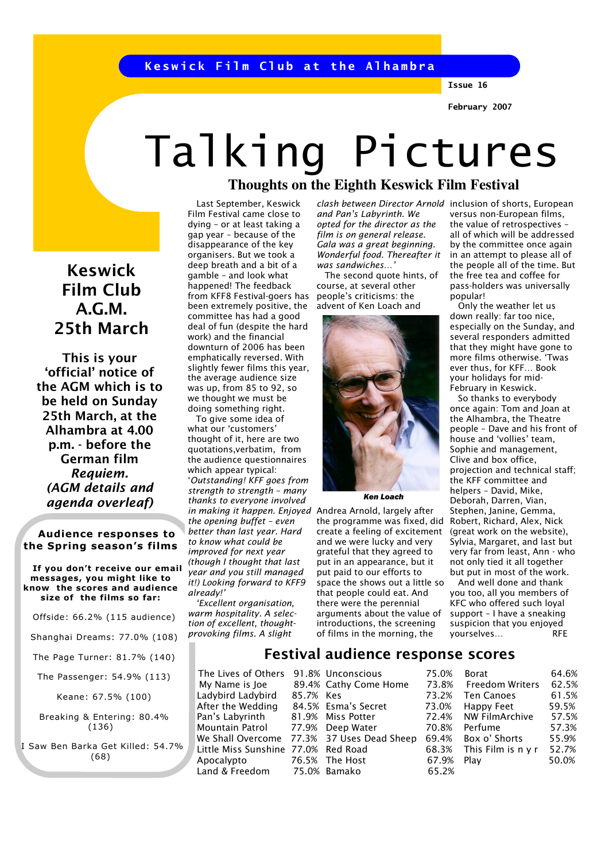Keswick Film Club at the Alhambra

Issue 16

February 2007

# **Thoughts on the Eighth Keswick Film Festival**  Talking Pictures

 Last September, Keswick Film Festival came close to dying – or at least taking a gap year – because of the disappearance of the key organisers. But we took a deep breath and a bit of a gamble – and look what happened! The feedback from KFF8 Festival-goers has been extremely positive, the committee has had a good deal of fun (despite the hard work) and the financial downturn of 2006 has been emphatically reversed. With slightly fewer films this year, the average audience size was up, from 85 to 92, so we thought we must be doing something right.

 To give some idea of what our 'customers' thought of it, here are two quotations,verbatim, from the audience questionnaires which appear typical: 'Outstanding! KFF goes from strength to strength – many thanks to everyone involved in making it happen. Enjoyed Andrea Arnold, largely after the opening buffet – even better than last year. Hard to know what could be improved for next year (though I thought that last year and you still managed it!) Looking forward to KFF9 already!'

 'Excellent organisation, warm hospitality. A selection of excellent, thoughtprovoking films. A slight

and Pan's Labyrinth. We opted for the director as the film is on general release. Gala was a great beginning. Wonderful food. Thereafter it was sandwiches…'

 The second quote hints, of course, at several other people's criticisms: the advent of Ken Loach and



Ken Loach

the programme was fixed, did Robert, Richard, Alex, Nick create a feeling of excitement and we were lucky and very grateful that they agreed to put in an appearance, but it put paid to our efforts to space the shows out a little so that people could eat. And there were the perennial arguments about the value of introductions, the screening of films in the morning, the

clash between Director Arnold inclusion of shorts, European versus non-European films, the value of retrospectives – all of which will be addressed by the committee once again in an attempt to please all of the people all of the time. But the free tea and coffee for pass-holders was universally popular!

 Only the weather let us down really: far too nice, especially on the Sunday, and several responders admitted that they might have gone to more films otherwise. 'Twas ever thus, for KFF… Book your holidays for mid-February in Keswick.

 So thanks to everybody once again: Tom and Joan at the Alhambra, the Theatre people – Dave and his front of house and 'vollies' team, Sophie and management, Clive and box office, projection and technical staff; the KFF committee and helpers – David, Mike, Deborah, Darren, Vian, Stephen, Janine, Gemma, (great work on the website), Sylvia, Margaret, and last but very far from least, Ann - who not only tied it all together but put in most of the work.

 And well done and thank you too, all you members of KFC who offered such loyal support – I have a sneaking suspicion that you enjoyed yourselves… RFE

My Name is Joe 8.

Ladybird Ladybird 85 After the Wedding  $84$ Pan's Labyrinth 81 Mountain Patrol 77 We Shall Overcome 77 Little Miss Sunshine 77 Apocalypto 76 Land & Freedom 7

|          | LON UNCULUCIONS    |
|----------|--------------------|
|          | 9.4% Cathy Come Ho |
| 5.7% Kes |                    |
|          | 4.5% Esma's Secret |
|          | .9% Miss Potter    |
|          | '.9% Deep Water    |
|          | 3% 37 Uses Dead S  |
|          | 0% Red Road        |
|          | $6.5\%$ The Host   |
|          | 5.0% Bamako        |
|          |                    |

### Festival audience response scores The Lives of Others 91.8% Unconscious 75.0% me 73.8% Kes 73.2% 73.0% Borat 64.6%

72.4<sup>%</sup> 70.8% heep 69.4% 68.3% 67.9% 65.2% Freedom Writers 62.5% Ten Canoes 61.5% Happy Feet 59.5% NW FilmArchive 57.5% Perfume 57.3% Box o' Shorts 55.9% This Film is n y r 52.7% Play 50.0%

## Keswick Film Club A.G.M. 25th March

This is your 'official' notice of the AGM which is to be held on Sunday 25th March, at the Alhambra at 4.00 p.m. - before the German film Requiem. (AGM details and agenda overleaf)

 Audience responses to the Spring season's films

 If you don't receive our email messages, you might like to know the scores and audience size of the films so far:

- Offside: 66.2% (115 audience)
- Shanghai Dreams: 77.0% (108)

The Page Turner: 81.7% (140)

The Passenger: 54.9% (113)

Keane: 67.5% (100)

 Breaking & Entering: 80.4% (136)

 I Saw Ben Barka Get Killed: 54.7% (68)